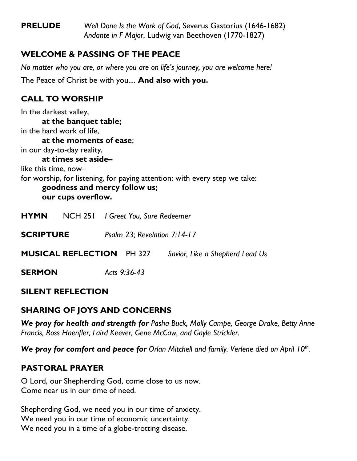**PRELUDE** *Well Done Is the Work of God*, Severus Gastorius (1646-1682) *Andante in F Major*, Ludwig van Beethoven (1770-1827)

# **WELCOME & PASSING OF THE PEACE**

*No matter who you are, or where you are on life's journey, you are welcome here!* The Peace of Christ be with you.... **And also with you.**

# **CALL TO WORSHIP**

In the darkest valley, **at the banquet table;** in the hard work of life, **at the moments of ease**; in our day-to-day reality, **at times set aside–** like this time, now– for worship, for listening, for paying attention; with every step we take: **goodness and mercy follow us; our cups overflow. HYMN** NCH 251 *I Greet You, Sure Redeemer*

**SCRIPTURE** *Psalm 23; Revelation 7:14-17*

**MUSICAL REFLECTION** PH 327 *Savior, Like a Shepherd Lead Us*

**SERMON** *Acts 9:36-43*

# **SILENT REFLECTION**

# **SHARING OF JOYS AND CONCERNS**

*We pray for health and strength for Pasha Buck, Molly Campe, George Drake, Betty Anne Francis, Ross Haenfler, Laird Keever, Gene McCaw, and Gayle Strickler.*

*We pray for comfort and peace for Orlan Mitchell and family. Verlene died on April 10th .*

# **PASTORAL PRAYER**

O Lord, our Shepherding God, come close to us now. Come near us in our time of need.

Shepherding God, we need you in our time of anxiety. We need you in our time of economic uncertainty. We need you in a time of a globe-trotting disease.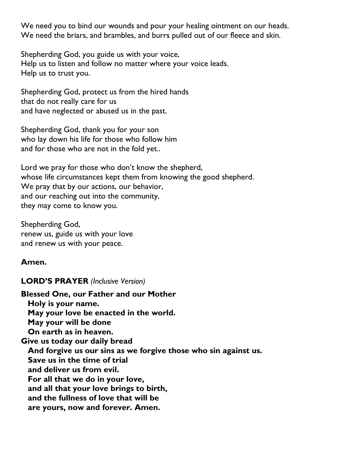We need you to bind our wounds and pour your healing ointment on our heads. We need the briars, and brambles, and burrs pulled out of our fleece and skin.

Shepherding God, you guide us with your voice, Help us to listen and follow no matter where your voice leads. Help us to trust you.

Shepherding God, protect us from the hired hands that do not really care for us and have neglected or abused us in the past.

Shepherding God, thank you for your son who lay down his life for those who follow him and for those who are not in the fold yet..

Lord we pray for those who don't know the shepherd, whose life circumstances kept them from knowing the good shepherd. We pray that by our actions, our behavior, and our reaching out into the community, they may come to know you.

Shepherding God, renew us, guide us with your love and renew us with your peace.

### **Amen.**

### **LORD'S PRAYER** *(Inclusive Version)*

**Blessed One, our Father and our Mother Holy is your name. May your love be enacted in the world. May your will be done On earth as in heaven. Give us today our daily bread And forgive us our sins as we forgive those who sin against us. Save us in the time of trial and deliver us from evil. For all that we do in your love, and all that your love brings to birth, and the fullness of love that will be are yours, now and forever. Amen.**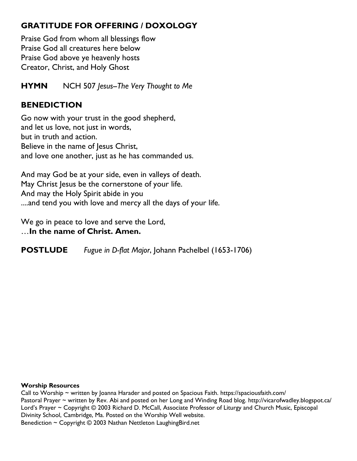# **GRATITUDE FOR OFFERING / DOXOLOGY**

Praise God from whom all blessings flow Praise God all creatures here below Praise God above ye heavenly hosts Creator, Christ, and Holy Ghost

**HYMN** NCH 507 *Jesus--The Very Thought to Me*

### **BENEDICTION**

Go now with your trust in the good shepherd, and let us love, not just in words, but in truth and action. Believe in the name of Jesus Christ, and love one another, just as he has commanded us.

And may God be at your side, even in valleys of death. May Christ Jesus be the cornerstone of your life. And may the Holy Spirit abide in you ....and tend you with love and mercy all the days of your life.

We go in peace to love and serve the Lord,

…**In the name of Christ. Amen.**

**POSTLUDE** *Fugue in D-flat Major*, Johann Pachelbel (1653-1706)

#### **Worship Resources**

Call to Worship ~ written by Joanna Harader and posted on Spacious Faith.<https://spaciousfaith.com/> Pastoral Prayer ~ written by Rev. Abi and posted on her Long and Winding Road blog.<http://vicarofwadley.blogspot.ca/> Lord's Prayer ~ Copyright © 2003 Richard D. McCall, Associate Professor of Liturgy and Church Music, Episcopal Divinity School, Cambridge, Ma. Posted on the [Worship Well](http://www.theworshipwell.org/pdf/WOR_McCall3.pdf) website. Benediction  $\sim$  Copyright  $\odot$  2003 Nathan Nettleton Laughing Bird.net